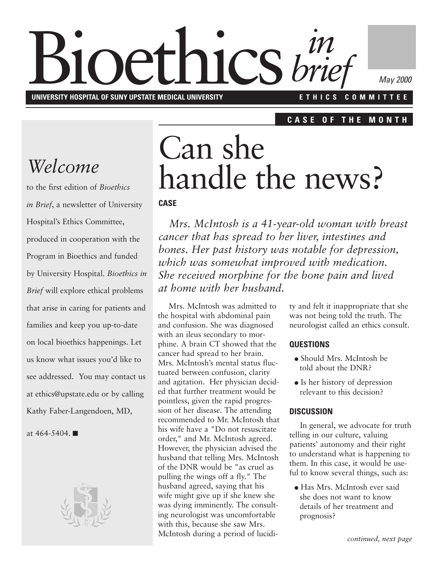# **Bioethics** *brie* **UNIVERSITY HOSPITAL OF SUNY UPSTATE MEDICAL UNIVERSITY E T H I C S C O M M I T T E E** *brief*

*May 2000*

#### **C A S E O F T H E M O N T H**

## *Welcome*

to the first edition of *Bioethics in Brief*, a newsletter of University Hospital's Ethics Committee, produced in cooperation with the Program in Bioethics and funded by University Hospital. *Bioethics in Brief* will explore ethical problems that arise in caring for patients and families and keep you up-to-date on local bioethics happenings. Let us know what issues you'd like to see addressed. You may contact us at ethics@upstate.edu or by calling Kathy Faber-Langendoen, MD,

at 464-5404. ■



# Can she handle the news?

#### **CASE**

*Mrs. McIntosh is a 41-year-old woman with breast cancer that has spread to her liver, intestines and bones. Her past history was notable for depression, which was somewhat improved with medication. She received morphine for the bone pain and lived at home with her husband.*

Mrs. McIntosh was admitted to the hospital with abdominal pain and confusion. She was diagnosed with an ileus secondary to morphine. A brain CT showed that the cancer had spread to her brain. Mrs. McIntosh's mental status fluctuated between confusion, clarity and agitation. Her physician decided that further treatment would be pointless, given the rapid progression of her disease. The attending recommended to Mr. McIntosh that his wife have a "Do not resuscitate order," and Mr. McIntosh agreed. However, the physician advised the husband that telling Mrs. McIntosh of the DNR would be "as cruel as pulling the wings off a fly." The husband agreed, saying that his wife might give up if she knew she was dying imminently. The consulting neurologist was uncomfortable with this, because she saw Mrs. McIntosh during a period of lucidity and felt it inappropriate that she was not being told the truth. The neurologist called an ethics consult.

#### **QUESTIONS**

- Should Mrs. McIntosh be told about the DNR?
- Is her history of depression relevant to this decision?

#### **DISCUSSION**

In general, we advocate for truth telling in our culture, valuing patients' autonomy and their right to understand what is happening to them. In this case, it would be useful to know several things, such as:

● Has Mrs. McIntosh ever said she does not want to know details of her treatment and prognosis?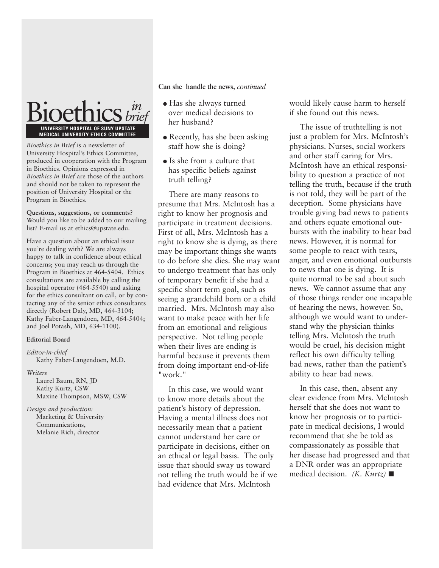

*Bioethics in Brief* is a newsletter of University Hospital's Ethics Committee, produced in cooperation with the Program in Bioethics. Opinions expressed in *Bioethics in Brief* are those of the authors and should not be taken to represent the position of University Hospital or the Program in Bioethics.

**Questions, suggestions, or comments?** Would you like to be added to our mailing list? E-mail us at ethics@upstate.edu.

Have a question about an ethical issue you're dealing with? We are always happy to talk in confidence about ethical concerns; you may reach us through the Program in Bioethics at 464-5404. Ethics consultations are available by calling the hospital operator (464-5540) and asking for the ethics consultant on call, or by contacting any of the senior ethics consultants directly (Robert Daly, MD, 464-3104; Kathy Faber-Langendoen, MD, 464-5404; and Joel Potash, MD, 634-1100).

#### **Editorial Board**

*Editor-in-chief* Kathy Faber-Langendoen, M.D.

#### *Writers*

Laurel Baum, RN, JD Kathy Kurtz, CSW Maxine Thompson, MSW, CSW

*Design and production:* Marketing & University Communications, Melanie Rich, director

**Can she handle the news,** *continued*

- Has she always turned over medical decisions to her husband?
- Recently, has she been asking staff how she is doing?
- Is she from a culture that has specific beliefs against truth telling?

There are many reasons to presume that Mrs. McIntosh has a right to know her prognosis and participate in treatment decisions. First of all, Mrs. McIntosh has a right to know she is dying, as there may be important things she wants to do before she dies. She may want to undergo treatment that has only of temporary benefit if she had a specific short term goal, such as seeing a grandchild born or a child married. Mrs. McIntosh may also want to make peace with her life from an emotional and religious perspective. Not telling people when their lives are ending is harmful because it prevents them from doing important end-of-life "work."

In this case, we would want to know more details about the patient's history of depression. Having a mental illness does not necessarily mean that a patient cannot understand her care or participate in decisions, either on an ethical or legal basis. The only issue that should sway us toward not telling the truth would be if we had evidence that Mrs. McIntosh

would likely cause harm to herself if she found out this news.

The issue of truthtelling is not just a problem for Mrs. McIntosh's physicians. Nurses, social workers and other staff caring for Mrs. McIntosh have an ethical responsibility to question a practice of not telling the truth, because if the truth is not told, they will be part of the deception. Some physicians have trouble giving bad news to patients and others equate emotional outbursts with the inability to hear bad news. However, it is normal for some people to react with tears, anger, and even emotional outbursts to news that one is dying. It is quite normal to be sad about such news. We cannot assume that any of those things render one incapable of hearing the news, however. So, although we would want to understand why the physician thinks telling Mrs. McIntosh the truth would be cruel, his decision might reflect his own difficulty telling bad news, rather than the patient's ability to hear bad news.

In this case, then, absent any clear evidence from Mrs. McIntosh herself that she does not want to know her prognosis or to participate in medical decisions, I would recommend that she be told as compassionately as possible that her disease had progressed and that a DNR order was an appropriate medical decision. *(K. Kurtz)* ■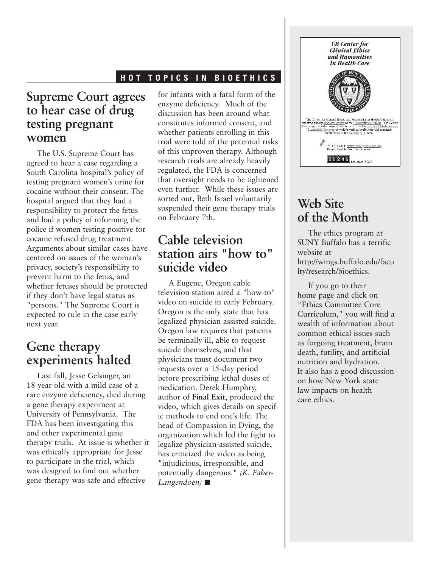#### **H O T T O P I C S I N B I O E T H I C S**

## **Supreme Court agrees to hear case of drug testing pregnant women**

The U.S. Supreme Court has agreed to hear a case regarding a South Carolina hospital's policy of testing pregnant women's urine for cocaine without their consent. The hospital argued that they had a responsibility to protect the fetus and had a policy of informing the police if women testing positive for cocaine refused drug treatment. Arguments about similar cases have centered on issues of the woman's privacy, society's responsibility to prevent harm to the fetus, and whether fetuses should be protected if they don't have legal status as "persons." The Supreme Court is expected to rule in the case early next year.

### **Gene therapy experiments halted**

Last fall, Jesse Gelsinger, an 18 year old with a mild case of a rare enzyme deficiency, died during a gene therapy experiment at University of Pennsylvania. The FDA has been investigating this and other experimental gene therapy trials. At issue is whether it was ethically appropriate for Jesse to participate in the trial, which was designed to find out whether gene therapy was safe and effective

for infants with a fatal form of the enzyme deficiency. Much of the discussion has been around what constitutes informed consent, and whether patients enrolling in this trial were told of the potential risks of this unproven therapy. Although research trials are already heavily regulated, the FDA is concerned that oversight needs to be tightened even further. While these issues are sorted out, Beth Israel voluntarily suspended their gene therapy trials on February 7th.

## **Cable television station airs "how to" suicide video**

A Eugene, Oregon cable television station aired a "how-to" video on suicide in early February. Oregon is the only state that has legalized physician assisted suicide. Oregon law requires that patients be terminally ill, able to request suicide themselves, and that physicians must document two requests over a 15-day period before prescribing lethal doses of medication. Derek Humphry, author of **Final Exit**, produced the video, which gives details on specific methods to end one's life. The head of Compassion in Dying, the organization which led the fight to legalize physician-assisted suicide, has criticized the video as being "injudicious, irresponsible, and potentially dangerous." *(K. Faber-Langendoen)* ■



## **Web Site of the Month**

The ethics program at SUNY Buffalo has a terrific website at http://wings.buffalo.edu/facu lty/research/bioethics.

If you go to their home page and click on "Ethics Committee Core Curriculum," you will find a wealth of information about common ethical issues such as forgoing treatment, brain death, futility, and artificial nutrition and hydration. It also has a good discussion on how New York state law impacts on health care ethics.